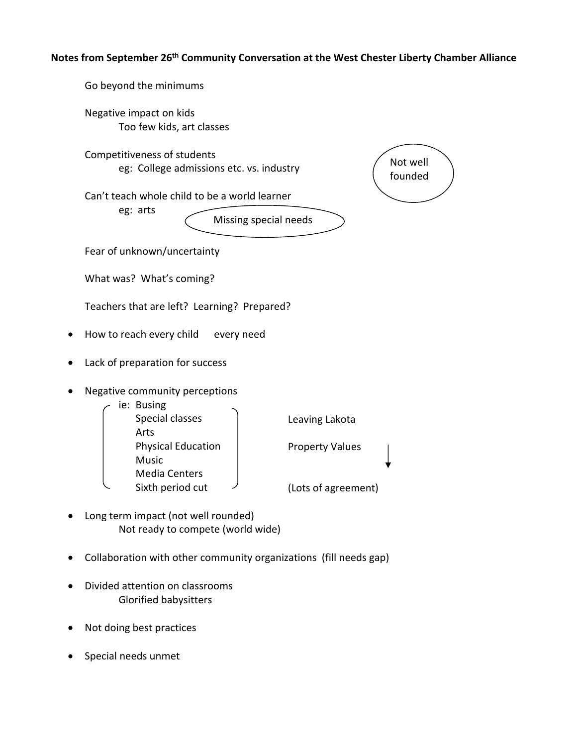## **Notes from September 26th Community Conversation at the West Chester Liberty Chamber Alliance**

Go beyond the minimums Negative impact on kids Too few kids, art classes Competitiveness of students eg: College admissions etc. vs. industry Can't teach whole child to be a world learner eg: arts Fear of unknown/uncertainty What was? What's coming? Teachers that are left? Learning? Prepared? • How to reach every child every need Lack of preparation for success • Negative community perceptions ie: Busing Special classes Arts Physical Education Music Media Centers Sixth period cut Long term impact (not well rounded) Not ready to compete (world wide) Not well founded Missing special needs Leaving Lakota Property Values (Lots of agreement)

- Collaboration with other community organizations (fill needs gap)
- Divided attention on classrooms Glorified babysitters
- Not doing best practices
- Special needs unmet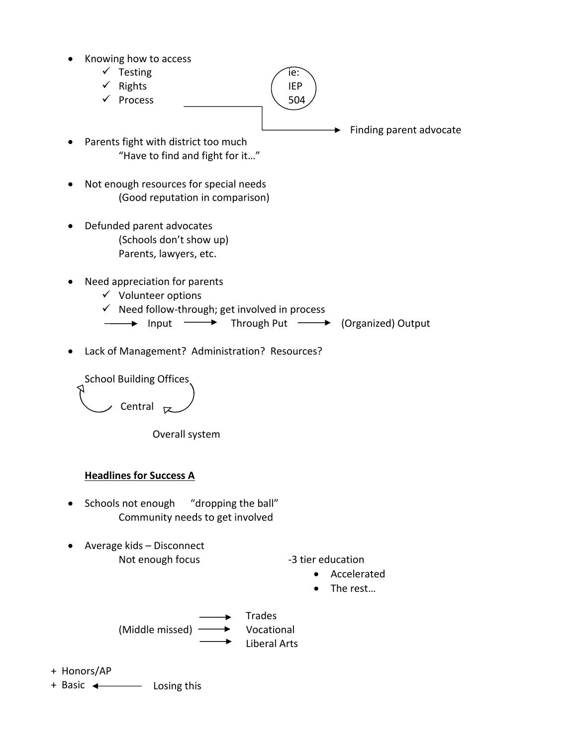- Knowing how to access
	- $\checkmark$  Testing  $\hat{e}$ :
	- $\checkmark$  Rights (IEP
	- $\checkmark$  Process  $\checkmark$  504
- $\blacktriangleright$  Finding parent advocate
- Parents fight with district too much "Have to find and fight for it…"
- Not enough resources for special needs (Good reputation in comparison)
- Defunded parent advocates (Schools don't show up) Parents, lawyers, etc.
- Need appreciation for parents
	- $\checkmark$  Volunteer options
	- $\checkmark$  Need follow-through; get involved in process
	- **Input →** Through Put → (Organized) Output
- Lack of Management? Administration? Resources?



Overall system

## **Headlines for Success A**

- Schools not enough "dropping the ball" Community needs to get involved
- Average kids Disconnect Not enough focus ‐3 tier education

- Accelerated
- The rest...



- + Honors/AP
- + Basic <
absoluted behind the Losing this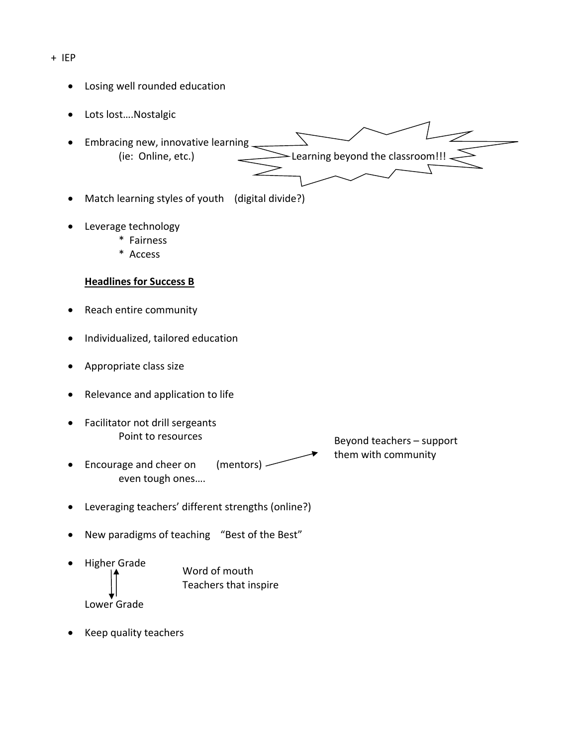+ IEP

- Losing well rounded education
- Lots lost….Nostalgic
- Embracing new, innovative learning  $(i$ e: Online, etc.)  $\sum$  Learning beyond the classroom!!!
- Match learning styles of youth (digital divide?)
- Leverage technology
	- \* Fairness
	- \* Access

## **Headlines for Success B**

- Reach entire community
- Individualized, tailored education
- Appropriate class size
- Relevance and application to life
- Facilitator not drill sergeants Point to resources
- Encourage and cheer on (mentors) even tough ones….

Beyond teachers – support them with community

- Leveraging teachers' different strengths (online?)
- New paradigms of teaching "Best of the Best"
- Higher Grade Lower Grade Word of mouth Teachers that inspire
- Keep quality teachers